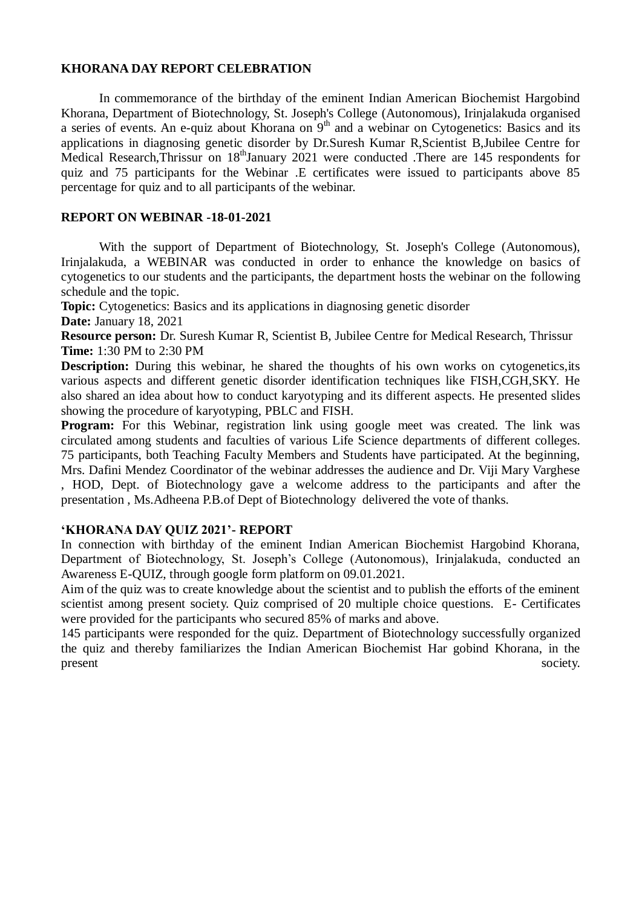## **KHORANA DAY REPORT CELEBRATION**

In commemorance of the birthday of the eminent Indian American Biochemist Hargobind Khorana, Department of Biotechnology, St. Joseph's College (Autonomous), Irinjalakuda organised a series of events. An e-quiz about Khorana on  $9<sup>th</sup>$  and a webinar on Cytogenetics: Basics and its applications in diagnosing genetic disorder by Dr.Suresh Kumar R,Scientist B,Jubilee Centre for Medical Research,Thrissur on 18<sup>th</sup>January 2021 were conducted .There are 145 respondents for quiz and 75 participants for the Webinar .E certificates were issued to participants above 85 percentage for quiz and to all participants of the webinar.

## **REPORT ON WEBINAR -18-01-2021**

With the support of Department of Biotechnology, St. Joseph's College (Autonomous), Irinjalakuda, a WEBINAR was conducted in order to enhance the knowledge on basics of cytogenetics to our students and the participants, the department hosts the webinar on the following schedule and the topic.

**Topic:** Cytogenetics: Basics and its applications in diagnosing genetic disorder **Date:** January 18, 2021

**Resource person:** Dr. Suresh Kumar R, Scientist B, Jubilee Centre for Medical Research, Thrissur **Time:** 1:30 PM to 2:30 PM

**Description:** During this webinar, he shared the thoughts of his own works on cytogenetics, its various aspects and different genetic disorder identification techniques like FISH,CGH,SKY. He also shared an idea about how to conduct karyotyping and its different aspects. He presented slides showing the procedure of karyotyping, PBLC and FISH.

**Program:** For this Webinar, registration link using google meet was created. The link was circulated among students and faculties of various Life Science departments of different colleges. 75 participants, both Teaching Faculty Members and Students have participated. At the beginning, Mrs. Dafini Mendez Coordinator of the webinar addresses the audience and Dr. Viji Mary Varghese , HOD, Dept. of Biotechnology gave a welcome address to the participants and after the presentation , Ms.Adheena P.B.of Dept of Biotechnology delivered the vote of thanks.

## **'KHORANA DAY QUIZ 2021'- REPORT**

In connection with birthday of the eminent Indian American Biochemist Hargobind Khorana, Department of Biotechnology, St. Joseph's College (Autonomous), Irinjalakuda, conducted an Awareness E-QUIZ, through google form platform on 09.01.2021.

Aim of the quiz was to create knowledge about the scientist and to publish the efforts of the eminent scientist among present society. Quiz comprised of 20 multiple choice questions. E- Certificates were provided for the participants who secured 85% of marks and above.

145 participants were responded for the quiz. Department of Biotechnology successfully organized the quiz and thereby familiarizes the Indian American Biochemist Har gobind Khorana, in the present society.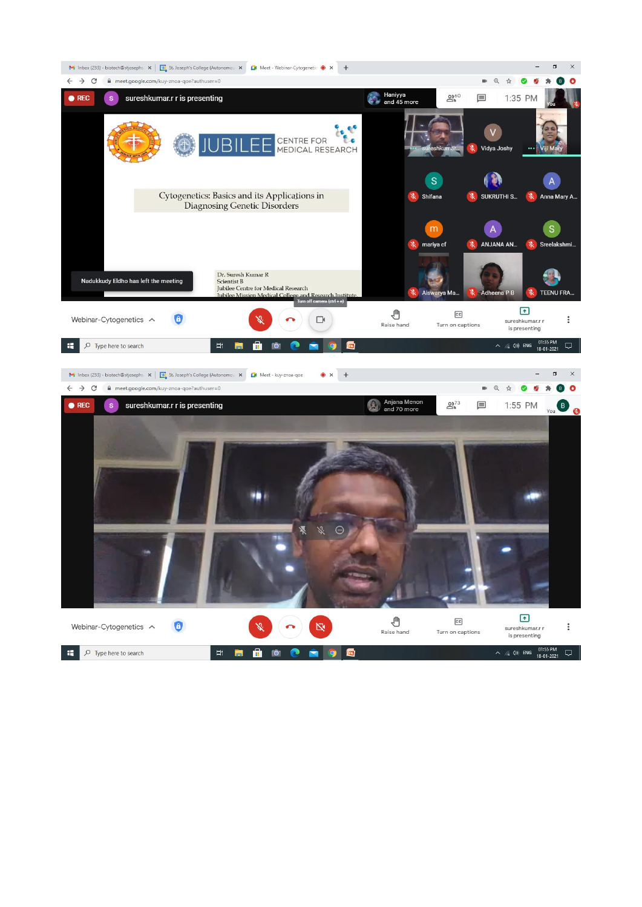